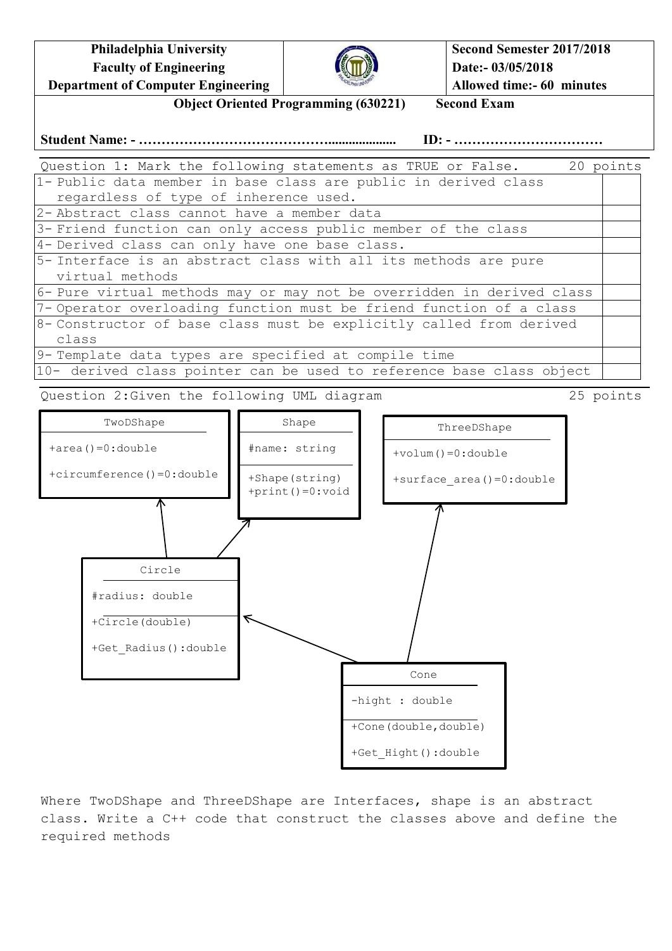**Philadelphia University Faculty of Engineering Department of Computer Engineering**



**Second Semester 2017/2018 Date:- 03/05/2018 Allowed time:- 60 minutes**

**Object Oriented Programming (630221) Second Exam**

## **Student Name: - …………………………………….................... ID: - ……………………………**

Question 1: Mark the following statements as TRUE or False. 20 points 1- Public data member in base class are public in derived class regardless of type of inherence used. 2- Abstract class cannot have a member data 3- Friend function can only access public member of the class 4- Derived class can only have one base class. 5- Interface is an abstract class with all its methods are pure virtual methods 6- Pure virtual methods may or may not be overridden in derived class 7- Operator overloading function must be friend function of a class 8- Constructor of base class must be explicitly called from derived class 9- Template data types are specified at compile time 10- derived class pointer can be used to reference base class object

Question 2:Given the following UML diagram 25 points



Where TwoDShape and ThreeDShape are Interfaces, shape is an abstract class. Write a C++ code that construct the classes above and define the required methods